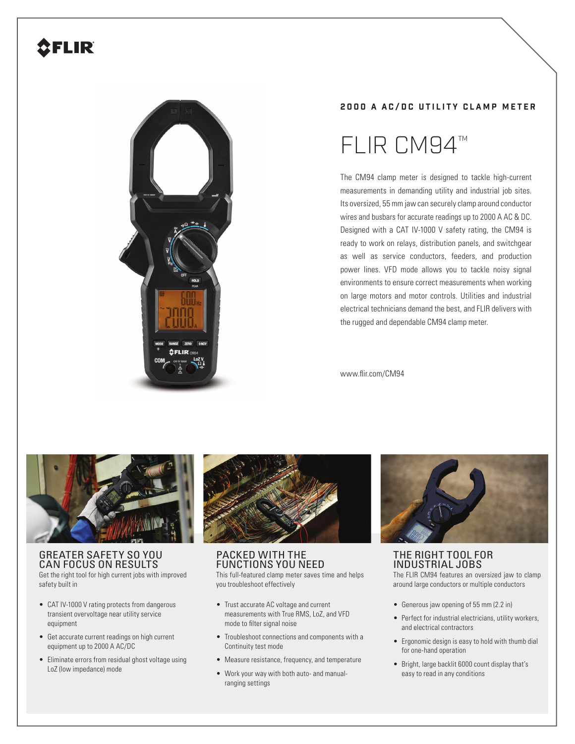# **SFLIR**



## **2000 A AC/DC UTILITY CLAMP METER**

# FLIR CM94™

The CM94 clamp meter is designed to tackle high-current measurements in demanding utility and industrial job sites. Its oversized, 55 mm jaw can securely clamp around conductor wires and busbars for accurate readings up to 2000 A AC & DC. Designed with a CAT IV-1000 V safety rating, the CM94 is ready to work on relays, distribution panels, and switchgear as well as service conductors, feeders, and production power lines. VFD mode allows you to tackle noisy signal environments to ensure correct measurements when working on large motors and motor controls. Utilities and industrial electrical technicians demand the best, and FLIR delivers with the rugged and dependable CM94 clamp meter.

www.flir.com/CM94



### GREATER SAFETY SO YOU CAN FOCUS ON RESULTS

Get the right tool for high current jobs with improved safety built in

- CAT IV-1000 V rating protects from dangerous transient overvoltage near utility service equipment
- Get accurate current readings on high current equipment up to 2000 A AC/DC
- Eliminate errors from residual ghost voltage using LoZ (low impedance) mode



PACKED WITH THE FUNCTIONS YOU NEED This full-featured clamp meter saves time and helps you troubleshoot effectively

- Trust accurate AC voltage and current measurements with True RMS, LoZ, and VFD mode to filter signal noise
- Troubleshoot connections and components with a Continuity test mode
- Measure resistance, frequency, and temperature
- Work your way with both auto- and manualranging settings



THE RIGHT TOOL FOR INDUSTRIAL JOBS

The FLIR CM94 features an oversized jaw to clamp around large conductors or multiple conductors

- Generous jaw opening of 55 mm (2.2 in)
- Perfect for industrial electricians, utility workers, and electrical contractors
- Ergonomic design is easy to hold with thumb dial for one-hand operation
- Bright, large backlit 6000 count display that's easy to read in any conditions